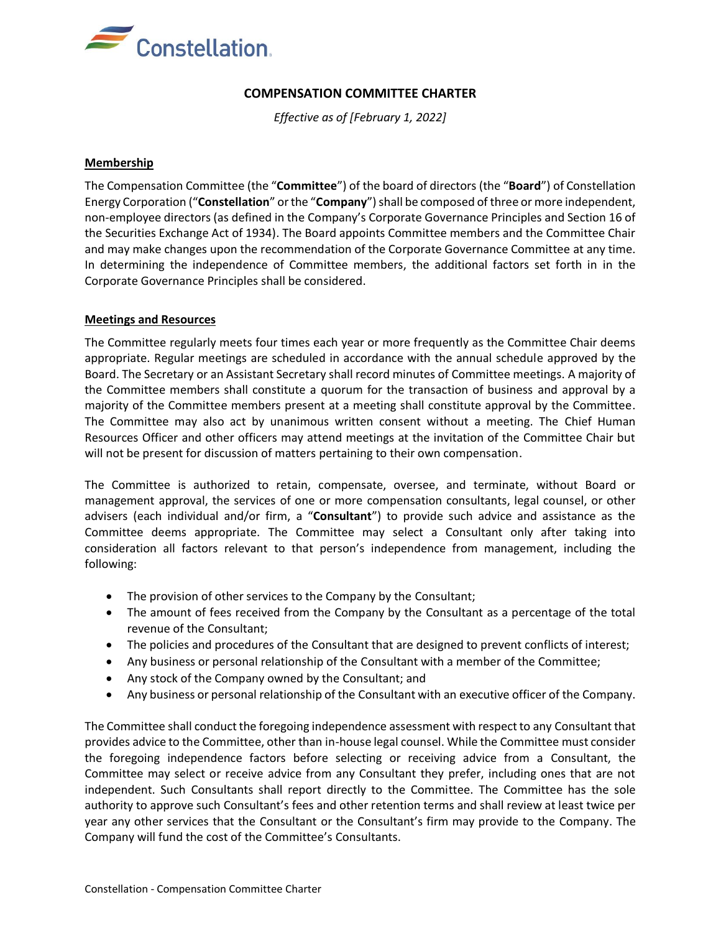

# **COMPENSATION COMMITTEE CHARTER**

*Effective as of [February 1, 2022]*

#### **Membership**

The Compensation Committee (the "**Committee**") of the board of directors (the "**Board**") of Constellation Energy Corporation ("**Constellation**" or the "**Company**")shall be composed of three or more independent, non-employee directors (as defined in the Company's Corporate Governance Principles and Section 16 of the Securities Exchange Act of 1934). The Board appoints Committee members and the Committee Chair and may make changes upon the recommendation of the Corporate Governance Committee at any time. In determining the independence of Committee members, the additional factors set forth in in the Corporate Governance Principles shall be considered.

#### **Meetings and Resources**

The Committee regularly meets four times each year or more frequently as the Committee Chair deems appropriate. Regular meetings are scheduled in accordance with the annual schedule approved by the Board. The Secretary or an Assistant Secretary shall record minutes of Committee meetings. A majority of the Committee members shall constitute a quorum for the transaction of business and approval by a majority of the Committee members present at a meeting shall constitute approval by the Committee. The Committee may also act by unanimous written consent without a meeting. The Chief Human Resources Officer and other officers may attend meetings at the invitation of the Committee Chair but will not be present for discussion of matters pertaining to their own compensation.

The Committee is authorized to retain, compensate, oversee, and terminate, without Board or management approval, the services of one or more compensation consultants, legal counsel, or other advisers (each individual and/or firm, a "**Consultant**") to provide such advice and assistance as the Committee deems appropriate. The Committee may select a Consultant only after taking into consideration all factors relevant to that person's independence from management, including the following:

- The provision of other services to the Company by the Consultant;
- The amount of fees received from the Company by the Consultant as a percentage of the total revenue of the Consultant;
- The policies and procedures of the Consultant that are designed to prevent conflicts of interest;
- Any business or personal relationship of the Consultant with a member of the Committee;
- Any stock of the Company owned by the Consultant; and
- Any business or personal relationship of the Consultant with an executive officer of the Company.

The Committee shall conduct the foregoing independence assessment with respect to any Consultant that provides advice to the Committee, other than in-house legal counsel. While the Committee must consider the foregoing independence factors before selecting or receiving advice from a Consultant, the Committee may select or receive advice from any Consultant they prefer, including ones that are not independent. Such Consultants shall report directly to the Committee. The Committee has the sole authority to approve such Consultant's fees and other retention terms and shall review at least twice per year any other services that the Consultant or the Consultant's firm may provide to the Company. The Company will fund the cost of the Committee's Consultants.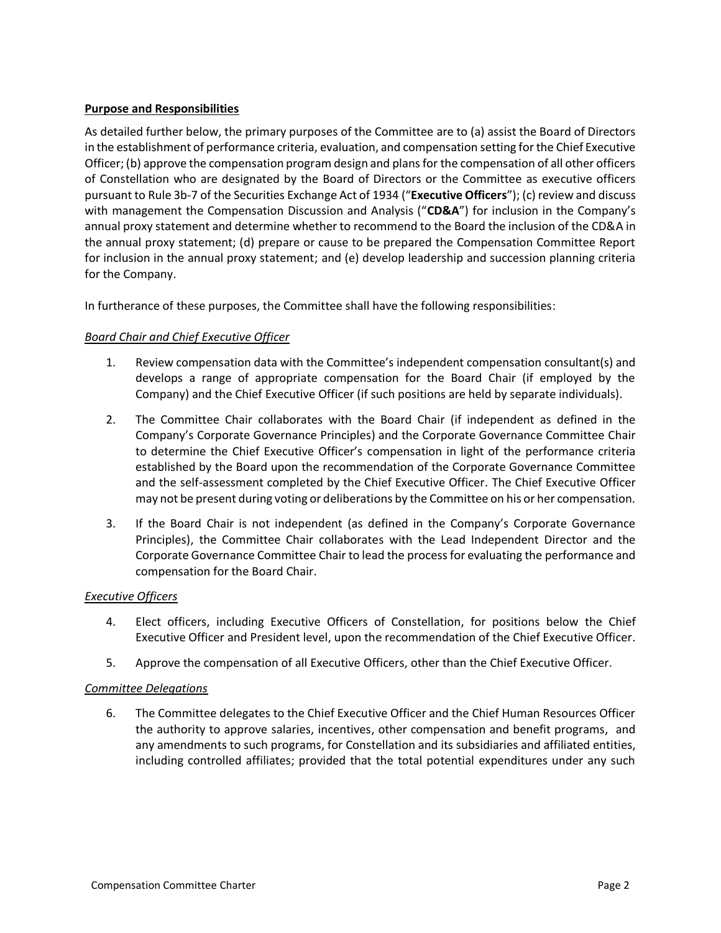## **Purpose and Responsibilities**

As detailed further below, the primary purposes of the Committee are to (a) assist the Board of Directors in the establishment of performance criteria, evaluation, and compensation setting for the Chief Executive Officer; (b) approve the compensation program design and plans for the compensation of all other officers of Constellation who are designated by the Board of Directors or the Committee as executive officers pursuant to Rule 3b-7 of the Securities Exchange Act of 1934 ("**Executive Officers**"); (c) review and discuss with management the Compensation Discussion and Analysis ("**CD&A**") for inclusion in the Company's annual proxy statement and determine whether to recommend to the Board the inclusion of the CD&A in the annual proxy statement; (d) prepare or cause to be prepared the Compensation Committee Report for inclusion in the annual proxy statement; and (e) develop leadership and succession planning criteria for the Company.

In furtherance of these purposes, the Committee shall have the following responsibilities:

## *Board Chair and Chief Executive Officer*

- 1. Review compensation data with the Committee's independent compensation consultant(s) and develops a range of appropriate compensation for the Board Chair (if employed by the Company) and the Chief Executive Officer (if such positions are held by separate individuals).
- 2. The Committee Chair collaborates with the Board Chair (if independent as defined in the Company's Corporate Governance Principles) and the Corporate Governance Committee Chair to determine the Chief Executive Officer's compensation in light of the performance criteria established by the Board upon the recommendation of the Corporate Governance Committee and the self-assessment completed by the Chief Executive Officer. The Chief Executive Officer may not be present during voting or deliberations by the Committee on his or her compensation.
- 3. If the Board Chair is not independent (as defined in the Company's Corporate Governance Principles), the Committee Chair collaborates with the Lead Independent Director and the Corporate Governance Committee Chair to lead the process for evaluating the performance and compensation for the Board Chair.

#### *Executive Officers*

- 4. Elect officers, including Executive Officers of Constellation, for positions below the Chief Executive Officer and President level, upon the recommendation of the Chief Executive Officer.
- 5. Approve the compensation of all Executive Officers, other than the Chief Executive Officer.

#### *Committee Delegations*

6. The Committee delegates to the Chief Executive Officer and the Chief Human Resources Officer the authority to approve salaries, incentives, other compensation and benefit programs, and any amendments to such programs, for Constellation and its subsidiaries and affiliated entities, including controlled affiliates; provided that the total potential expenditures under any such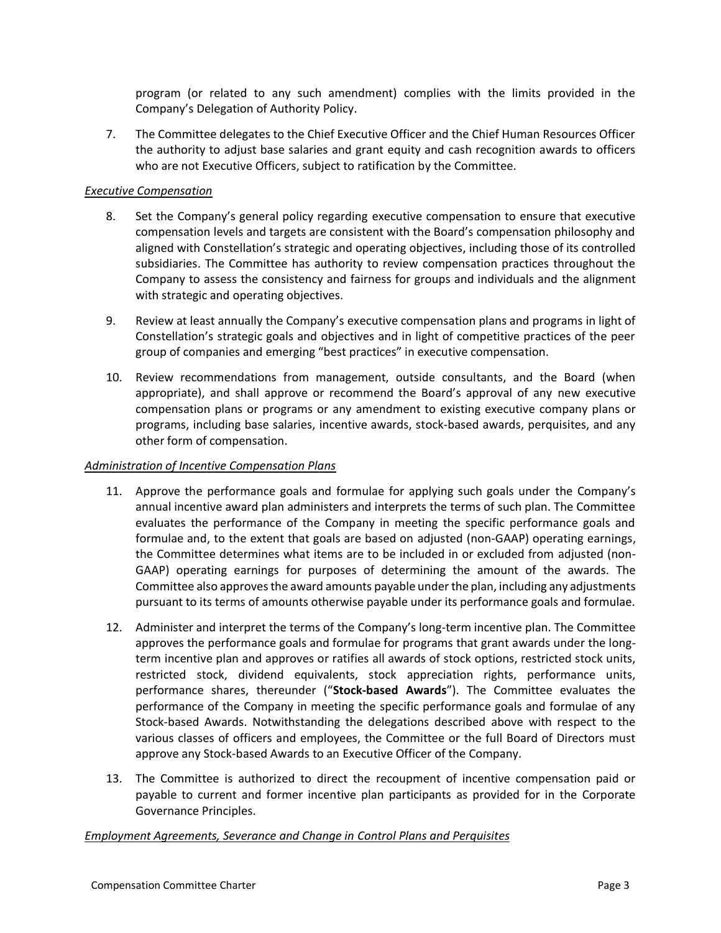program (or related to any such amendment) complies with the limits provided in the Company's Delegation of Authority Policy.

7. The Committee delegates to the Chief Executive Officer and the Chief Human Resources Officer the authority to adjust base salaries and grant equity and cash recognition awards to officers who are not Executive Officers, subject to ratification by the Committee.

## *Executive Compensation*

- 8. Set the Company's general policy regarding executive compensation to ensure that executive compensation levels and targets are consistent with the Board's compensation philosophy and aligned with Constellation's strategic and operating objectives, including those of its controlled subsidiaries. The Committee has authority to review compensation practices throughout the Company to assess the consistency and fairness for groups and individuals and the alignment with strategic and operating objectives.
- 9. Review at least annually the Company's executive compensation plans and programs in light of Constellation's strategic goals and objectives and in light of competitive practices of the peer group of companies and emerging "best practices" in executive compensation.
- 10. Review recommendations from management, outside consultants, and the Board (when appropriate), and shall approve or recommend the Board's approval of any new executive compensation plans or programs or any amendment to existing executive company plans or programs, including base salaries, incentive awards, stock-based awards, perquisites, and any other form of compensation.

#### *Administration of Incentive Compensation Plans*

- 11. Approve the performance goals and formulae for applying such goals under the Company's annual incentive award plan administers and interprets the terms of such plan. The Committee evaluates the performance of the Company in meeting the specific performance goals and formulae and, to the extent that goals are based on adjusted (non-GAAP) operating earnings, the Committee determines what items are to be included in or excluded from adjusted (non-GAAP) operating earnings for purposes of determining the amount of the awards. The Committee also approves the award amounts payable under the plan, including any adjustments pursuant to its terms of amounts otherwise payable under its performance goals and formulae.
- 12. Administer and interpret the terms of the Company's long-term incentive plan. The Committee approves the performance goals and formulae for programs that grant awards under the longterm incentive plan and approves or ratifies all awards of stock options, restricted stock units, restricted stock, dividend equivalents, stock appreciation rights, performance units, performance shares, thereunder ("**Stock-based Awards**"). The Committee evaluates the performance of the Company in meeting the specific performance goals and formulae of any Stock-based Awards. Notwithstanding the delegations described above with respect to the various classes of officers and employees, the Committee or the full Board of Directors must approve any Stock-based Awards to an Executive Officer of the Company.
- 13. The Committee is authorized to direct the recoupment of incentive compensation paid or payable to current and former incentive plan participants as provided for in the Corporate Governance Principles.

#### *Employment Agreements, Severance and Change in Control Plans and Perquisites*